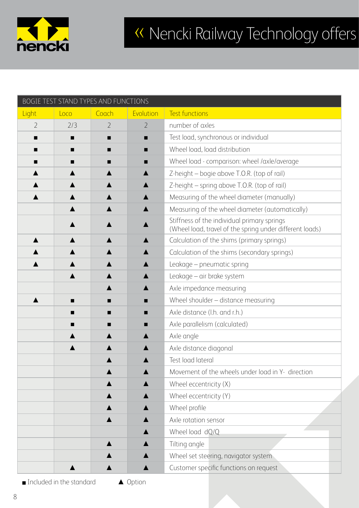

## « Nencki Railway Technology offers

| BOGIE TEST STAND TYPES AND FUNCTIONS |      |                |                  |                                                                                                         |
|--------------------------------------|------|----------------|------------------|---------------------------------------------------------------------------------------------------------|
| Light                                | Loco | Coach          | Evolution        | <b>Test functions</b>                                                                                   |
| $\overline{2}$                       | 2/3  | $\overline{2}$ | $\overline{2}$   | number of axles                                                                                         |
|                                      |      | ■              | ■                | Test load, synchronous or individual                                                                    |
| ■                                    | ■    | ■              | ■                | Wheel load, load distribution                                                                           |
|                                      |      |                | ■                | Wheel load - comparison: wheel /axle/average                                                            |
|                                      |      |                |                  | Z-height – bogie above T.O.R. (top of rail)                                                             |
|                                      |      |                | $\blacktriangle$ | Z-height – spring above T.O.R. (top of rail)                                                            |
|                                      |      |                |                  | Measuring of the wheel diameter (manually)                                                              |
|                                      |      |                |                  | Measuring of the wheel diameter (automatically)                                                         |
|                                      |      |                |                  | Stiffness of the individual primary springs<br>(Wheel load, travel of the spring under different loads) |
|                                      |      |                | ▲                | Calculation of the shims (primary springs)                                                              |
|                                      |      |                |                  | Calculation of the shims (secondary springs)                                                            |
|                                      |      |                | $\blacktriangle$ | Leakage - pneumatic spring                                                                              |
|                                      |      |                |                  | Leakage - air brake system                                                                              |
|                                      |      |                |                  | Axle impedance measuring                                                                                |
|                                      |      | ▅              | ▄                | Wheel shoulder - distance measuring                                                                     |
|                                      |      | ■              | ■                | Axle distance (l.h. and r.h.)                                                                           |
|                                      |      |                |                  | Axle parallelism (calculated)                                                                           |
|                                      |      |                |                  | Axle angle                                                                                              |
|                                      |      |                |                  | Axle distance diagonal                                                                                  |
|                                      |      |                |                  | Test load lateral                                                                                       |
|                                      |      |                |                  | Movement of the wheels under load in Y- direction                                                       |
|                                      |      |                |                  | Wheel eccentricity (X)                                                                                  |
|                                      |      |                |                  | Wheel eccentricity (Y)                                                                                  |
|                                      |      |                |                  | Wheel profile                                                                                           |
|                                      |      |                |                  | Axle rotation sensor                                                                                    |
|                                      |      |                |                  | Wheel load dQ/Q                                                                                         |
|                                      |      |                |                  | Tilting angle                                                                                           |
|                                      |      |                |                  | Wheel set steering, navigator system                                                                    |
|                                      |      |                |                  | Customer specific functions on request                                                                  |

■ Included in the standard △ Option